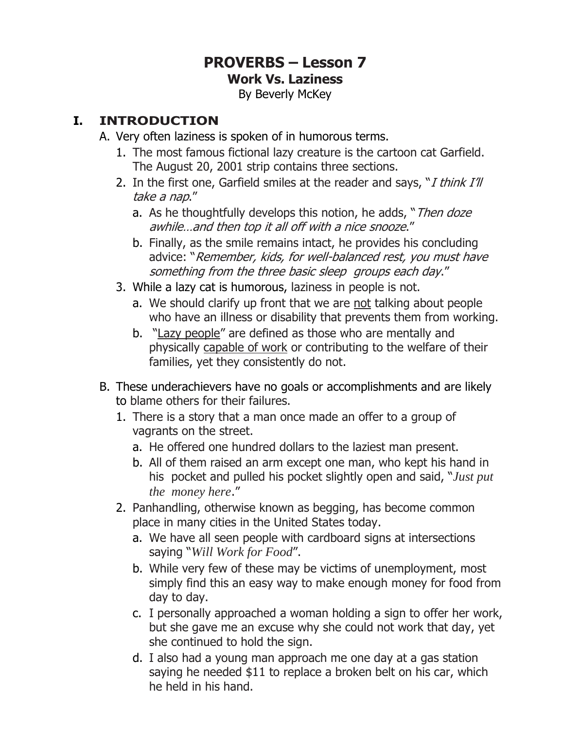# **PROVERBS – Lesson 7 Work Vs. Laziness**

By Beverly McKey

## **I. INTRODUCTION**

- A. Very often laziness is spoken of in humorous terms.
	- 1. The most famous fictional lazy creature is the cartoon cat Garfield. The August 20, 2001 strip contains three sections.
	- 2. In the first one, Garfield smiles at the reader and says, " $I$  think  $I$ 'll take a nap."
		- a. As he thoughtfully develops this notion, he adds, "*Then doze* awhile…and then top it all off with a nice snooze."
		- b. Finally, as the smile remains intact, he provides his concluding advice: "Remember, kids, for well-balanced rest, you must have something from the three basic sleep groups each day."
	- 3. While a lazy cat is humorous, laziness in people is not.
		- a. We should clarify up front that we are not talking about people who have an illness or disability that prevents them from working.
		- b. "Lazy people" are defined as those who are mentally and physically capable of work or contributing to the welfare of their families, yet they consistently do not.
- B. These underachievers have no goals or accomplishments and are likely to blame others for their failures.
	- 1. There is a story that a man once made an offer to a group of vagrants on the street.
		- a. He offered one hundred dollars to the laziest man present.
		- b. All of them raised an arm except one man, who kept his hand in his pocket and pulled his pocket slightly open and said, "*Just put the money here*."
	- 2. Panhandling, otherwise known as begging, has become common place in many cities in the United States today.
		- a. We have all seen people with cardboard signs at intersections saying "*Will Work for Food*".
		- b. While very few of these may be victims of unemployment, most simply find this an easy way to make enough money for food from day to day.
		- c. I personally approached a woman holding a sign to offer her work, but she gave me an excuse why she could not work that day, yet she continued to hold the sign.
		- d. I also had a young man approach me one day at a gas station saying he needed \$11 to replace a broken belt on his car, which he held in his hand.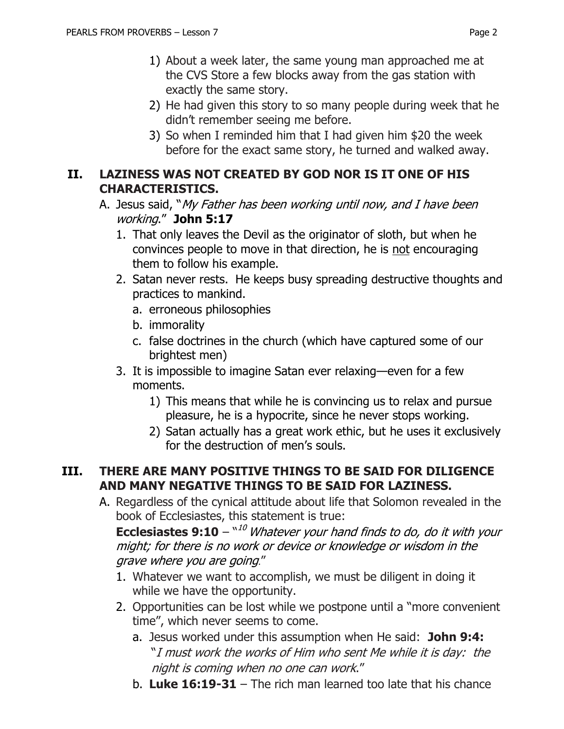- 1) About a week later, the same young man approached me at the CVS Store a few blocks away from the gas station with exactly the same story.
- 2) He had given this story to so many people during week that he didn't remember seeing me before.
- 3) So when I reminded him that I had given him \$20 the week before for the exact same story, he turned and walked away.

#### **II. LAZINESS WAS NOT CREATED BY GOD NOR IS IT ONE OF HIS CHARACTERISTICS.**

- A. Jesus said, "My Father has been working until now, and I have been working." **John 5:17**
	- 1. That only leaves the Devil as the originator of sloth, but when he convinces people to move in that direction, he is not encouraging them to follow his example.
	- 2. Satan never rests.He keeps busy spreading destructive thoughts and practices to mankind.
		- a. erroneous philosophies
		- b. immorality
		- c. false doctrines in the church (which have captured some of our brightest men)
	- 3. It is impossible to imagine Satan ever relaxing—even for a few moments.
		- 1) This means that while he is convincing us to relax and pursue pleasure, he is a hypocrite, since he never stops working.
		- 2) Satan actually has a great work ethic, but he uses it exclusively for the destruction of men's souls.

#### **III. THERE ARE MANY POSITIVE THINGS TO BE SAID FOR DILIGENCE AND MANY NEGATIVE THINGS TO BE SAID FOR LAZINESS.**

A. Regardless of the cynical attitude about life that Solomon revealed in the book of Ecclesiastes, this statement is true:

**Ecclesiastes 9:10** – "<sup>10</sup> Whatever your hand finds to do, do it with your might; for there is no work or device or knowledge or wisdom in the grave where you are going."

- 1. Whatever we want to accomplish, we must be diligent in doing it while we have the opportunity.
- 2. Opportunities can be lost while we postpone until a "more convenient time", which never seems to come.
	- a. Jesus worked under this assumption when He said: **John 9:4:** "I must work the works of Him who sent Me while it is day: the night is coming when no one can work."
	- b. **Luke 16:19-31** The rich man learned too late that his chance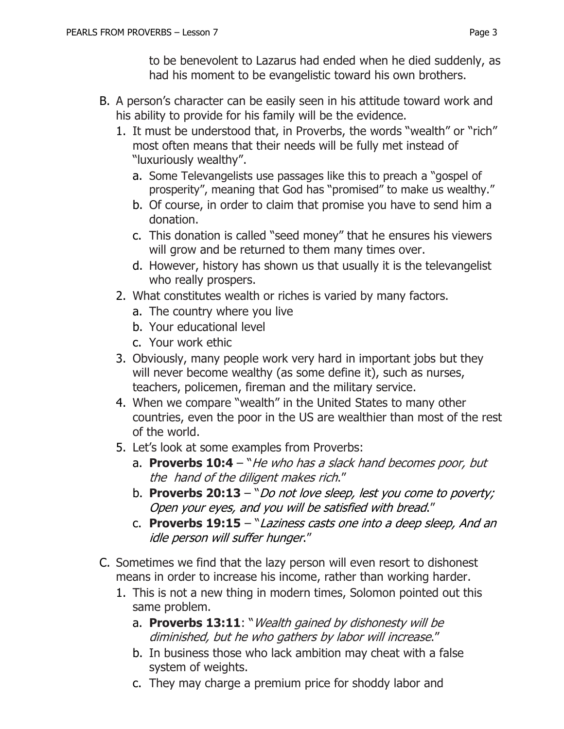to be benevolent to Lazarus had ended when he died suddenly, as had his moment to be evangelistic toward his own brothers.

- B. A person's character can be easily seen in his attitude toward work and his ability to provide for his family will be the evidence.
	- 1. It must be understood that, in Proverbs, the words "wealth" or "rich" most often means that their needs will be fully met instead of "luxuriously wealthy".
		- a. Some Televangelists use passages like this to preach a "gospel of prosperity", meaning that God has "promised" to make us wealthy."
		- b. Of course, in order to claim that promise you have to send him a donation.
		- c. This donation is called "seed money" that he ensures his viewers will grow and be returned to them many times over.
		- d. However, history has shown us that usually it is the televangelist who really prospers.
	- 2. What constitutes wealth or riches is varied by many factors.
		- a. The country where you live
		- b. Your educational level
		- c. Your work ethic
	- 3. Obviously, many people work very hard in important jobs but they will never become wealthy (as some define it), such as nurses, teachers, policemen, fireman and the military service.
	- 4. When we compare "wealth" in the United States to many other countries, even the poor in the US are wealthier than most of the rest of the world.
	- 5. Let's look at some examples from Proverbs:
		- a. **Proverbs 10:4** "He who has a slack hand becomes poor, but the hand of the diligent makes rich."
		- b. **Proverbs 20:13**  "Do not love sleep, lest you come to poverty; Open your eyes, and you will be satisfied with bread."
		- c. **Proverbs 19:15** "Laziness casts one into a deep sleep, And an idle person will suffer hunger."
- C. Sometimes we find that the lazy person will even resort to dishonest means in order to increase his income, rather than working harder.
	- 1. This is not a new thing in modern times, Solomon pointed out this same problem.
		- a. **Proverbs 13:11**: "Wealth gained by dishonesty will be diminished, but he who gathers by labor will increase."
		- b. In business those who lack ambition may cheat with a false system of weights.
		- c. They may charge a premium price for shoddy labor and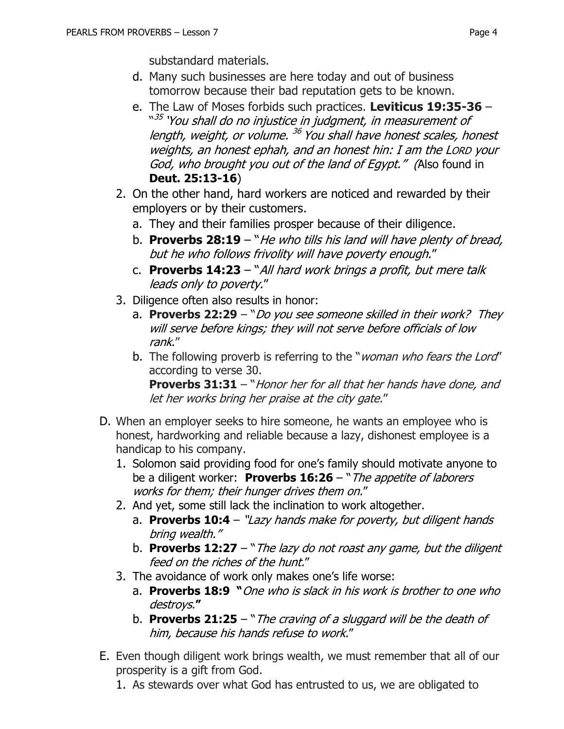substandard materials.

- d. Many such businesses are here today and out of business tomorrow because their bad reputation gets to be known.
- e. The Law of Moses forbids such practices. **Leviticus 19:35-36**  <sup>"35</sup> 'You shall do no injustice in judgment, in measurement of length, weight, or volume. <sup>36</sup> You shall have honest scales, honest weights, an honest ephah, and an honest hin: I am the LORD your God, who brought you out of the land of Egypt." (Also found in **Deut. 25:13-16**)
- 2. On the other hand, hard workers are noticed and rewarded by their employers or by their customers.
	- a. They and their families prosper because of their diligence.
	- b. **Proverbs 28:19**  "He who tills his land will have plenty of bread, but he who follows frivolity will have poverty enough."
	- c. **Proverbs 14:23** "All hard work brings a profit, but mere talk leads only to poverty."
- 3. Diligence often also results in honor:
	- a. **Proverbs 22:29** "Do you see someone skilled in their work? They will serve before kings; they will not serve before officials of low rank."
	- b. The following proverb is referring to the "*woman who fears the Lord"* according to verse 30.

**Proverbs 31:31** – "Honor her for all that her hands have done, and let her works bring her praise at the city gate."

- D. When an employer seeks to hire someone, he wants an employee who is honest, hardworking and reliable because a lazy, dishonest employee is a handicap to his company.
	- 1. Solomon said providing food for one's family should motivate anyone to be a diligent worker: **Proverbs 16:26** – "The appetite of laborers works for them; their hunger drives them on."
	- 2. And yet, some still lack the inclination to work altogether.
		- a. **Proverbs 10:4**  "Lazy hands make for poverty, but diligent hands bring wealth."
		- b. **Proverbs 12:27** "The lazy do not roast any game, but the diligent feed on the riches of the hunt."
	- 3. The avoidance of work only makes one's life worse:
		- a. **Proverbs 18:9 "**One who is slack in his work is brother to one who destroys.**"**
		- b. **Proverbs 21:25** "The craving of a sluggard will be the death of him, because his hands refuse to work."
- E. Even though diligent work brings wealth, we must remember that all of our prosperity is a gift from God.
	- 1. As stewards over what God has entrusted to us, we are obligated to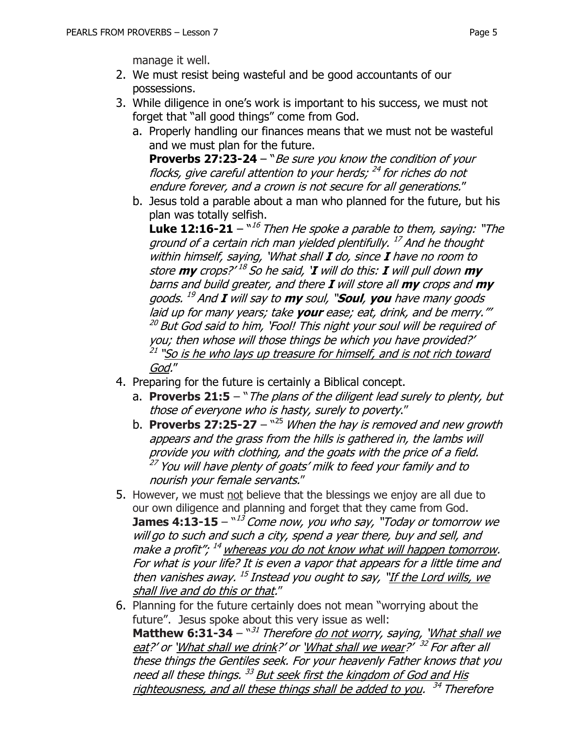manage it well.

- 2. We must resist being wasteful and be good accountants of our possessions.
- 3. While diligence in one's work is important to his success, we must not forget that "all good things" come from God.
	- a. Properly handling our finances means that we must not be wasteful and we must plan for the future.

**Proverbs 27:23-24** – "Be sure you know the condition of your flocks, give careful attention to your herds; <sup>24</sup> for riches do not endure forever, and a crown is not secure for all generations."

b. Jesus told a parable about a man who planned for the future, but his plan was totally selfish.

**Luke 12:16-21** –  $16$  Then He spoke a parable to them, saying: "The ground of a certain rich man yielded plentifully. <sup>17</sup> And he thought within himself, saying, 'What shall **I** do, since **I** have no room to store **my** crops?' 18 So he said, '**I** will do this: **I** will pull down **my** barns and build greater, and there **I** will store all **my** crops and **my** goods. <sup>19</sup> And **<sup>I</sup>** will say to **my** soul, "**Soul**, **you** have many goods laid up for many years; take **your** ease; eat, drink, and be merry."' <sup>20</sup> But God said to him, 'Fool! This night your soul will be required of you; then whose will those things be which you have provided?' <sup>21</sup> "So is he who lays up treasure for himself, and is not rich toward God."

- 4. Preparing for the future is certainly a Biblical concept.
	- a. **Proverbs 21:5** "The plans of the diligent lead surely to plenty, but those of everyone who is hasty, surely to poverty."
	- b. **Proverbs 27:25-27** <sup>25</sup> When the hay is removed and new growth appears and the grass from the hills is gathered in, the lambs will provide you with clothing, and the goats with the price of a field. <sup>27</sup> You will have plenty of goats' milk to feed your family and to nourish your female servants."
- 5. However, we must not believe that the blessings we enjoy are all due to our own diligence and planning and forget that they came from God. **James 4:13-15** –  $\frac{13}{3}$  Come now, you who say, "Today or tomorrow we will go to such and such a city, spend a year there, buy and sell, and make a profit"; <sup>14</sup> whereas you do not know what will happen tomorrow. For what is your life? It is even a vapor that appears for a little time and then vanishes away. <sup>15</sup> Instead you ought to say, "<u>If the Lord wills, we</u> shall live and do this or that."
- 6. Planning for the future certainly does not mean "worrying about the future". Jesus spoke about this very issue as well: **Matthew 6:31-34** – "<sup>31</sup> Therefore <u>do not wor</u>ry, saying, <u>'What shall we</u> eat?' or `What shall we drink?' or `What shall we wear?' <sup>32</sup> For after all these things the Gentiles seek. For your heavenly Father knows that you need all these things. <sup>33</sup> But seek first the kingdom of God and His righteousness, and all these things shall be added to you. <sup>34</sup> Therefore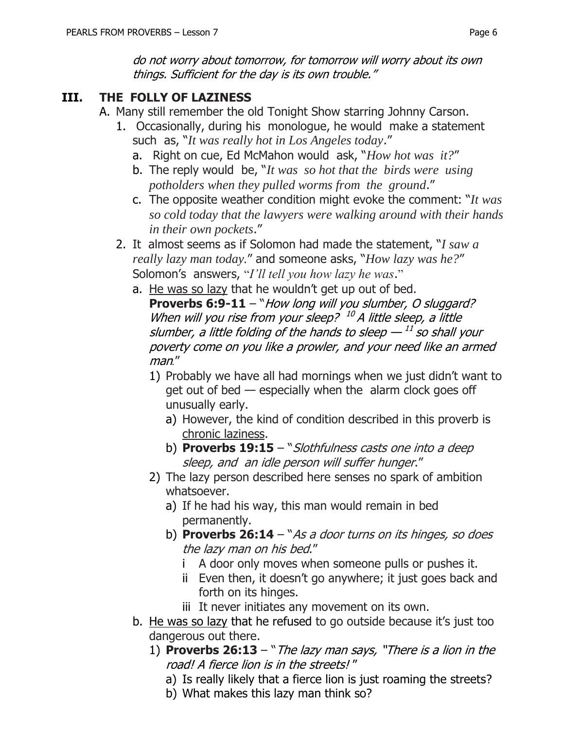# **III. THE FOLLY OF LAZINESS**

- A. Many still remember the old Tonight Show starring Johnny Carson.
	- 1. Occasionally, during his monologue, he would make a statement such as, "*It was really hot in Los Angeles today*."
		- a. Right on cue, Ed McMahon would ask, "*How hot was it?*"
		- b. The reply would be, "*It was so hot that the birds were using potholders when they pulled worms from the ground*."
		- c. The opposite weather condition might evoke the comment: "*It was so cold today that the lawyers were walking around with their hands in their own pockets*."
	- 2. It almost seems as if Solomon had made the statement, "*I saw a really lazy man today.*" and someone asks, "*How lazy was he?*" Solomon's answers, "*I'll tell you how lazy he was*."
		- a. He was so lazy that he wouldn't get up out of bed. **Proverbs 6:9-11** – "How long will you slumber, O sluggard? When will you rise from your sleep?  $^{10}$  A little sleep, a little slumber, a little folding of the hands to sleep  $^{\mathrm{11}}$  so shall your poverty come on you like a prowler, and your need like an armed man*.*"
			- 1) Probably we have all had mornings when we just didn't want to get out of bed — especially when the alarm clock goes off unusually early.
				- a) However, the kind of condition described in this proverb is chronic laziness.
				- b) **Proverbs 19:15**  "Slothfulness casts one into a deep sleep, and an idle person will suffer hunger."
			- 2) The lazy person described here senses no spark of ambition whatsoever.
				- a) If he had his way, this man would remain in bed permanently.
				- b) **Proverbs 26:14**  "As a door turns on its hinges, so does the lazy man on his bed."
					- i A door only moves when someone pulls or pushes it.
					- ii Even then, it doesn't go anywhere; it just goes back and forth on its hinges.
					- iii It never initiates any movement on its own.
		- b. He was so lazy that he refused to go outside because it's just too dangerous out there.
			- 1) **Proverbs 26:13**  "The lazy man says, "There is a lion in the road! A fierce lion is in the streets! "
				- a) Is really likely that a fierce lion is just roaming the streets?
				- b) What makes this lazy man think so?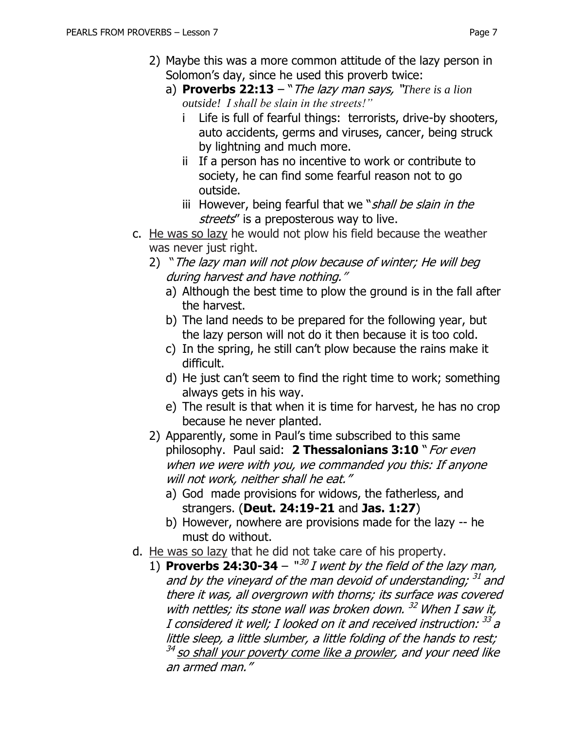- 2) Maybe this was a more common attitude of the lazy person in Solomon's day, since he used this proverb twice:
	- a) **Proverbs 22:13** "The lazy man says, "*There is a lion outside! I shall be slain in the streets!"*
		- i Life is full of fearful things: terrorists, drive-by shooters, auto accidents, germs and viruses, cancer, being struck by lightning and much more.
		- ii If a person has no incentive to work or contribute to society, he can find some fearful reason not to go outside.
		- iii However, being fearful that we "*shall be slain in the* streets" is a preposterous way to live.
- c. He was so lazy he would not plow his field because the weather was never just right.
	- 2) "The lazy man will not plow because of winter; He will beg during harvest and have nothing."
		- a) Although the best time to plow the ground is in the fall after the harvest.
		- b) The land needs to be prepared for the following year, but the lazy person will not do it then because it is too cold.
		- c) In the spring, he still can't plow because the rains make it difficult.
		- d) He just can't seem to find the right time to work; something always gets in his way.
		- e) The result is that when it is time for harvest, he has no crop because he never planted.
	- 2) Apparently, some in Paul's time subscribed to this same philosophy. Paul said: 2 **Thessalonians 3:10** " For even when we were with you, we commanded you this: If anyone will not work, neither shall he eat."
		- a) God made provisions for widows, the fatherless, and strangers. (**Deut. 24:19-21** and **Jas. 1:27**)
		- b) However, nowhere are provisions made for the lazy -- he must do without.
- d. He was so lazy that he did not take care of his property.
	- 1) **Proverbs 24:30-34**  $^{\prime\prime}$ <sup>30</sup> I went by the field of the lazy man, and by the vineyard of the man devoid of understanding; <sup>31</sup> and there it was, all overgrown with thorns; its surface was covered with nettles; its stone wall was broken down. <sup>32</sup> When I saw it, I considered it well; I looked on it and received instruction:  $^{33}$  a little sleep, a little slumber, a little folding of the hands to rest; <sup>34</sup> so shall your poverty come like a prowler, and your need like an armed man."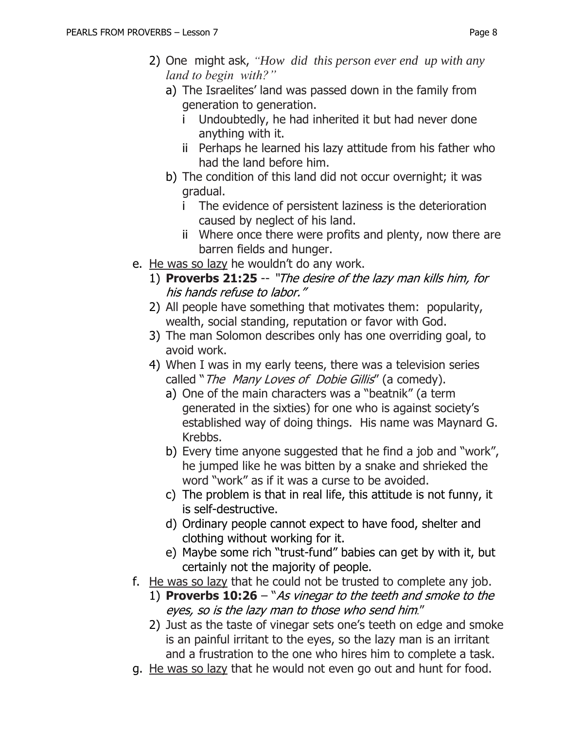- 2) One might ask, *"How did this person ever end up with any land to begin with?"*
	- a) The Israelites' land was passed down in the family from generation to generation.
		- i Undoubtedly, he had inherited it but had never done anything with it.
		- ii Perhaps he learned his lazy attitude from his father who had the land before him.
	- b) The condition of this land did not occur overnight; it was gradual.
		- i The evidence of persistent laziness is the deterioration caused by neglect of his land.
		- ii Where once there were profits and plenty, now there are barren fields and hunger.
- e. He was so lazy he wouldn't do any work.
	- 1) **Proverbs 21:25** -- "The desire of the lazy man kills him, for his hands refuse to labor."
	- 2) All people have something that motivates them: popularity, wealth, social standing, reputation or favor with God.
	- 3) The man Solomon describes only has one overriding goal, to avoid work.
	- 4) When I was in my early teens, there was a television series called "The Many Loves of Dobie Gillis" (a comedy).
		- a) One of the main characters was a "beatnik" (a term generated in the sixties) for one who is against society's established way of doing things. His name was Maynard G. Krebbs.
		- b) Every time anyone suggested that he find a job and "work", he jumped like he was bitten by a snake and shrieked the word "work" as if it was a curse to be avoided.
		- c) The problem is that in real life, this attitude is not funny, it is self-destructive.
		- d) Ordinary people cannot expect to have food, shelter and clothing without working for it.
		- e) Maybe some rich "trust-fund" babies can get by with it, but certainly not the majority of people.
- f. He was so lazy that he could not be trusted to complete any job.
	- 1) **Proverbs 10:26** "As vinegar to the teeth and smoke to the eyes, so is the lazy man to those who send him."
	- 2) Just as the taste of vinegar sets one's teeth on edge and smoke is an painful irritant to the eyes, so the lazy man is an irritant and a frustration to the one who hires him to complete a task.
- g. He was so lazy that he would not even go out and hunt for food.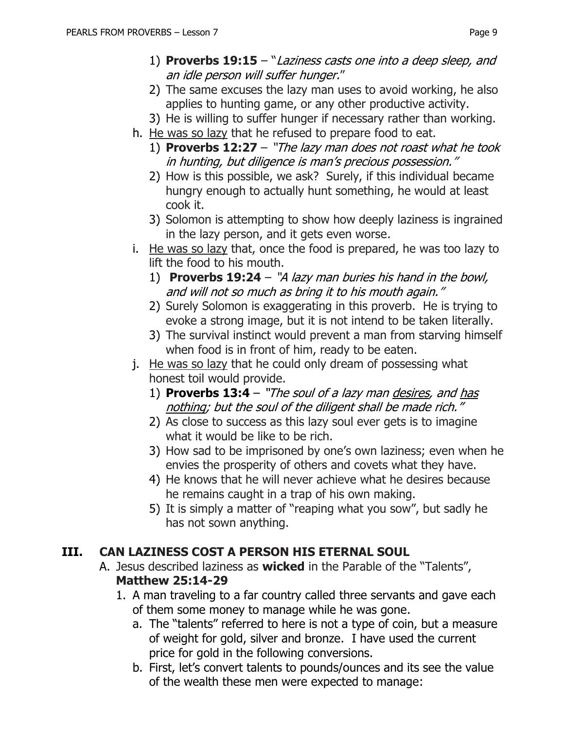- 1) **Proverbs 19:15** "Laziness casts one into a deep sleep, and an idle person will suffer hunger."
- 2) The same excuses the lazy man uses to avoid working, he also applies to hunting game, or any other productive activity.
- 3) He is willing to suffer hunger if necessary rather than working.
- h. He was so lazy that he refused to prepare food to eat.
	- 1) **Proverbs 12:27** "The lazy man does not roast what he took in hunting, but diligence is man's precious possession."
	- 2) How is this possible, we ask? Surely, if this individual became hungry enough to actually hunt something, he would at least cook it.
	- 3) Solomon is attempting to show how deeply laziness is ingrained in the lazy person, and it gets even worse.
- i. He was so lazy that, once the food is prepared, he was too lazy to lift the food to his mouth.
	- 1) **Proverbs 19:24** "A lazy man buries his hand in the bowl, and will not so much as bring it to his mouth again."
	- 2) Surely Solomon is exaggerating in this proverb. He is trying to evoke a strong image, but it is not intend to be taken literally.
	- 3) The survival instinct would prevent a man from starving himself when food is in front of him, ready to be eaten.
- j. He was so lazy that he could only dream of possessing what honest toil would provide.
	- 1) **Proverbs 13:4** "The soul of a lazy man desires, and has nothing; but the soul of the diligent shall be made rich."
	- 2) As close to success as this lazy soul ever gets is to imagine what it would be like to be rich.
	- 3) How sad to be imprisoned by one's own laziness; even when he envies the prosperity of others and covets what they have.
	- 4) He knows that he will never achieve what he desires because he remains caught in a trap of his own making.
	- 5) It is simply a matter of "reaping what you sow", but sadly he has not sown anything.

# **III. CAN LAZINESS COST A PERSON HIS ETERNAL SOUL**

- A. Jesus described laziness as **wicked** in the Parable of the "Talents", **Matthew 25:14-29**
	- 1. A man traveling to a far country called three servants and gave each of them some money to manage while he was gone.
		- a. The "talents" referred to here is not a type of coin, but a measure of weight for gold, silver and bronze. I have used the current price for gold in the following conversions.
		- b. First, let's convert talents to pounds/ounces and its see the value of the wealth these men were expected to manage: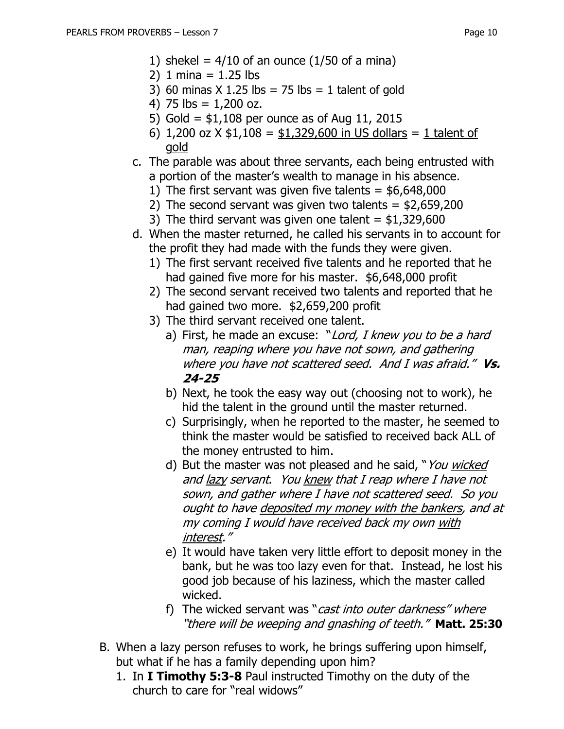- 1) shekel =  $4/10$  of an ounce  $(1/50$  of a mina)
- 2) 1 mina =  $1.25$  lbs
- 3) 60 minas  $X$  1.25 lbs = 75 lbs = 1 talent of gold
- 4) 75  $\text{lbs} = 1,200 \text{ oz}$ .
- 5) Gold = \$1,108 per ounce as of Aug 11, 2015
- 6) 1,200 oz  $X \le 1,108 = 1,329,600$  in US dollars = 1 talent of gold
- c. The parable was about three servants, each being entrusted with a portion of the master's wealth to manage in his absence.
	- 1) The first servant was given five talents  $=$  \$6,648,000
	- 2) The second servant was given two talents  $=$  \$2,659,200
	- 3) The third servant was given one talent  $=$  \$1,329,600
- d. When the master returned, he called his servants in to account for the profit they had made with the funds they were given.
	- 1) The first servant received five talents and he reported that he had gained five more for his master. \$6,648,000 profit
	- 2) The second servant received two talents and reported that he had gained two more. \$2,659,200 profit
	- 3) The third servant received one talent.
		- a) First, he made an excuse: "Lord, I knew you to be a hard man, reaping where you have not sown, and gathering where you have not scattered seed. And I was afraid." **Vs. 24-25**
		- b) Next, he took the easy way out (choosing not to work), he hid the talent in the ground until the master returned.
		- c) Surprisingly, when he reported to the master, he seemed to think the master would be satisfied to received back ALL of the money entrusted to him.
		- d) But the master was not pleased and he said, "You wicked and lazy servant. You knew that I reap where I have not sown, and gather where I have not scattered seed. So you ought to have deposited my money with the bankers, and at my coming I would have received back my own with interest."
		- e) It would have taken very little effort to deposit money in the bank, but he was too lazy even for that. Instead, he lost his good job because of his laziness, which the master called wicked.
		- f) The wicked servant was "*cast into outer darkness" where* "there will be weeping and gnashing of teeth." **Matt. 25:30**
- B. When a lazy person refuses to work, he brings suffering upon himself, but what if he has a family depending upon him?
	- 1. In **I Timothy 5:3-8** Paul instructed Timothy on the duty of the church to care for "real widows"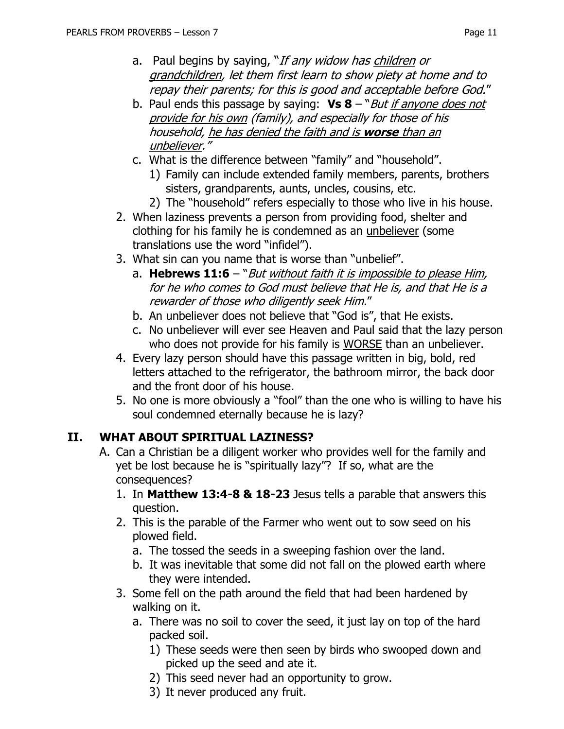- a. Paul begins by saying, "If any widow has children or grandchildren, let them first learn to show piety at home and to repay their parents; for this is good and acceptable before God."
- b. Paul ends this passage by saying: **Vs 8** "But if anyone does not provide for his own (family), and especially for those of his household, he has denied the faith and is **worse** than an unbeliever."
- c. What is the difference between "family" and "household".
	- 1) Family can include extended family members, parents, brothers sisters, grandparents, aunts, uncles, cousins, etc.
	- 2) The "household" refers especially to those who live in his house.
- 2. When laziness prevents a person from providing food, shelter and clothing for his family he is condemned as an unbeliever (some translations use the word "infidel").
- 3. What sin can you name that is worse than "unbelief".
	- a. **Hebrews 11:6** "*But without faith it is impossible to please Him*, for he who comes to God must believe that He is, and that He is a rewarder of those who diligently seek Him."
	- b. An unbeliever does not believe that "God is", that He exists.
	- c. No unbeliever will ever see Heaven and Paul said that the lazy person who does not provide for his family is WORSE than an unbeliever.
- 4. Every lazy person should have this passage written in big, bold, red letters attached to the refrigerator, the bathroom mirror, the back door and the front door of his house.
- 5. No one is more obviously a "fool" than the one who is willing to have his soul condemned eternally because he is lazy?

# **II. WHAT ABOUT SPIRITUAL LAZINESS?**

- A. Can a Christian be a diligent worker who provides well for the family and yet be lost because he is "spiritually lazy"? If so, what are the consequences?
	- 1. In **Matthew 13:4-8 & 18-23** Jesus tells a parable that answers this question.
	- 2. This is the parable of the Farmer who went out to sow seed on his plowed field.
		- a. The tossed the seeds in a sweeping fashion over the land.
		- b. It was inevitable that some did not fall on the plowed earth where they were intended.
	- 3. Some fell on the path around the field that had been hardened by walking on it.
		- a. There was no soil to cover the seed, it just lay on top of the hard packed soil.
			- 1) These seeds were then seen by birds who swooped down and picked up the seed and ate it.
			- 2) This seed never had an opportunity to grow.
			- 3) It never produced any fruit.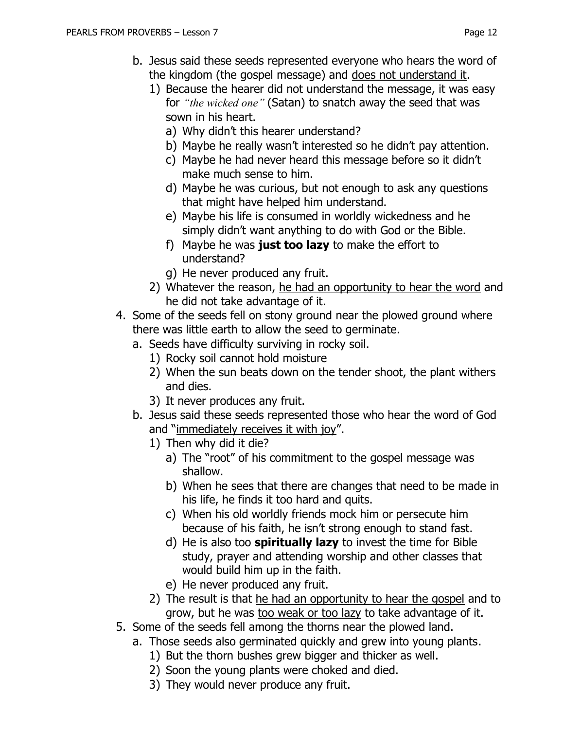- b. Jesus said these seeds represented everyone who hears the word of the kingdom (the gospel message) and does not understand it.
	- 1) Because the hearer did not understand the message, it was easy for *"the wicked one"* (Satan) to snatch away the seed that was sown in his heart.
		- a) Why didn't this hearer understand?
		- b) Maybe he really wasn't interested so he didn't pay attention.
		- c) Maybe he had never heard this message before so it didn't make much sense to him.
		- d) Maybe he was curious, but not enough to ask any questions that might have helped him understand.
		- e) Maybe his life is consumed in worldly wickedness and he simply didn't want anything to do with God or the Bible.
		- f) Maybe he was **just too lazy** to make the effort to understand?
		- g) He never produced any fruit.
	- 2) Whatever the reason, he had an opportunity to hear the word and he did not take advantage of it.
- 4. Some of the seeds fell on stony ground near the plowed ground where there was little earth to allow the seed to germinate.
	- a. Seeds have difficulty surviving in rocky soil.
		- 1) Rocky soil cannot hold moisture
		- 2) When the sun beats down on the tender shoot, the plant withers and dies.
		- 3) It never produces any fruit.
	- b. Jesus said these seeds represented those who hear the word of God and "immediately receives it with joy".
		- 1) Then why did it die?
			- a) The "root" of his commitment to the gospel message was shallow.
			- b) When he sees that there are changes that need to be made in his life, he finds it too hard and quits.
			- c) When his old worldly friends mock him or persecute him because of his faith, he isn't strong enough to stand fast.
			- d) He is also too **spiritually lazy** to invest the time for Bible study, prayer and attending worship and other classes that would build him up in the faith.
			- e) He never produced any fruit.
		- 2) The result is that he had an opportunity to hear the gospel and to grow, but he was too weak or too lazy to take advantage of it.
- 5. Some of the seeds fell among the thorns near the plowed land.
	- a. Those seeds also germinated quickly and grew into young plants.
		- 1) But the thorn bushes grew bigger and thicker as well.
		- 2) Soon the young plants were choked and died.
		- 3) They would never produce any fruit.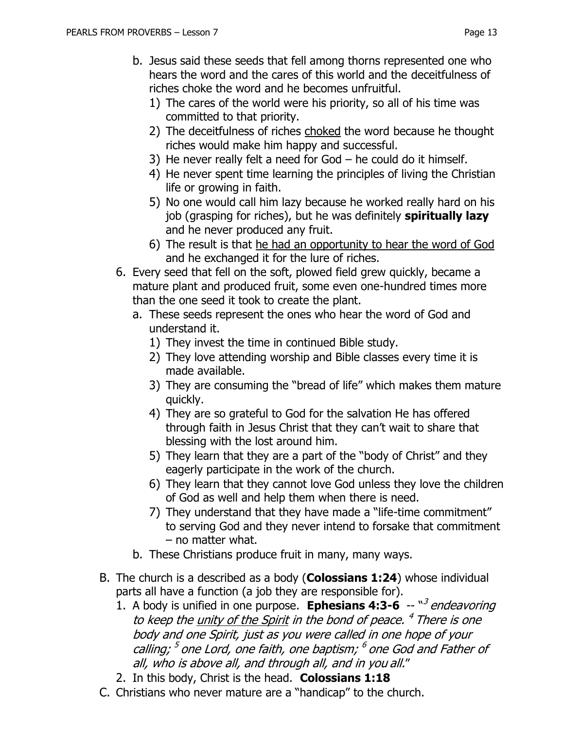- b. Jesus said these seeds that fell among thorns represented one who hears the word and the cares of this world and the deceitfulness of riches choke the word and he becomes unfruitful.
	- 1) The cares of the world were his priority, so all of his time was committed to that priority.
	- 2) The deceitfulness of riches choked the word because he thought riches would make him happy and successful.
	- 3) He never really felt a need for God he could do it himself.
	- 4) He never spent time learning the principles of living the Christian life or growing in faith.
	- 5) No one would call him lazy because he worked really hard on his job (grasping for riches), but he was definitely **spiritually lazy** and he never produced any fruit.
	- 6) The result is that he had an opportunity to hear the word of God and he exchanged it for the lure of riches.
- 6. Every seed that fell on the soft, plowed field grew quickly, became a mature plant and produced fruit, some even one-hundred times more than the one seed it took to create the plant.
	- a. These seeds represent the ones who hear the word of God and understand it.
		- 1) They invest the time in continued Bible study.
		- 2) They love attending worship and Bible classes every time it is made available.
		- 3) They are consuming the "bread of life" which makes them mature quickly.
		- 4) They are so grateful to God for the salvation He has offered through faith in Jesus Christ that they can't wait to share that blessing with the lost around him.
		- 5) They learn that they are a part of the "body of Christ" and they eagerly participate in the work of the church.
		- 6) They learn that they cannot love God unless they love the children of God as well and help them when there is need.
		- 7) They understand that they have made a "life-time commitment" to serving God and they never intend to forsake that commitment – no matter what.
	- b. These Christians produce fruit in many, many ways.
- B. The church is a described as a body (**Colossians 1:24**) whose individual parts all have a function (a job they are responsible for).
	- 1. A body is unified in one purpose. **Ephesians 4:3-6** -- "<sup>3</sup> endeavoring to keep the <u>unity of the Spirit</u> in the bond of peace. <sup>4</sup> There is one body and one Spirit, just as you were called in one hope of your calling; <sup>5</sup> one Lord, one faith, one baptism; <sup>6</sup> one God and Father of all, who is above all, and through all, and in you all."
	- 2. In this body, Christ is the head. **Colossians 1:18**
- C. Christians who never mature are a "handicap" to the church.